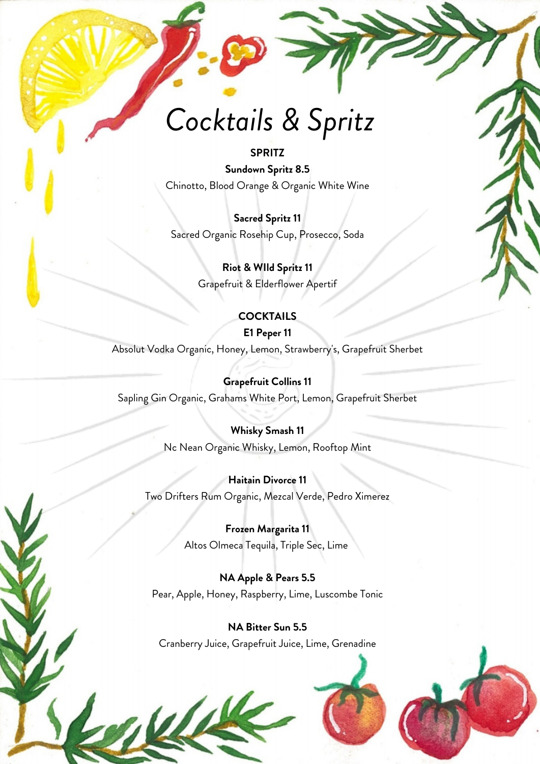# *Cocktails & Spritz*

#### **SPRITZ**

**Sundown Spritz 8.5** Chinotto, Blood Orange & Organic White Wine

**Sacred Spritz 11** Sacred Organic Rosehip Cup, Prosecco, Soda

> **Riot & WIld Spritz 11** Grapefruit & Elderflower Apertif

#### **COCKTAILS**

#### **E1 Peper 11**

Absolut Vodka Organic, Honey, Lemon, Strawberry's, Grapefruit Sherbet

#### **Grapefruit Collins 11**

Sapling Gin Organic, Grahams White Port, Lemon, Grapefruit Sherbet

#### **Whisky Smash 11**

Nc Nean Organic Whisky, Lemon, Rooftop Mint

#### **Haitain Divorce 11**

Two Drifters Rum Organic, Mezcal Verde, Pedro Ximerez

#### **Frozen Margarita 11**

Altos Olmeca Tequila, Triple Sec, Lime

#### **NA Apple & Pears 5.5**

Pear, Apple, Honey, Raspberry, Lime, Luscombe Tonic

**NA Bitter Sun 5.5** Cranberry Juice, Grapefruit Juice, Lime, Grenadine



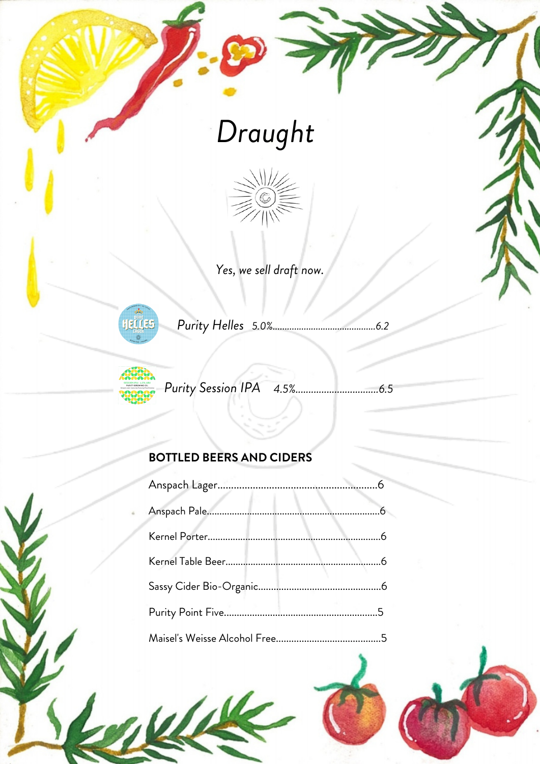# Draught



Yes, we sell draft now.





Purity Session IPA 

### **BOTTLED BEERS AND CIDERS**

 $\mu$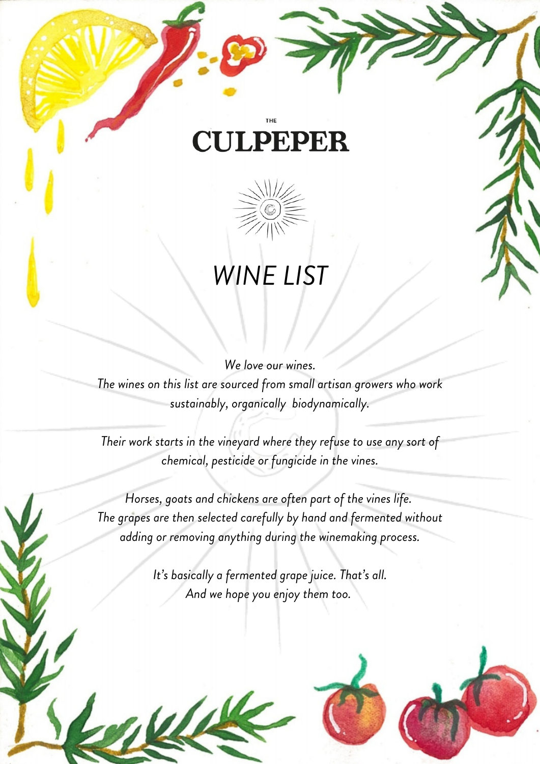### **CULPEPER**



## *WINE LIST*

*We love our wines.*

*The wines on this list are sourced from small artisan growers who work sustainably, organically biodynamically.*

*Their work starts in the vineyard where they refuse to use any sort of chemical, pesticide or fungicide in the vines.*

*Horses, goats and chickens are often part of the vines life. The grapes are then selected carefully by hand and fermented without adding or removing anything during the winemaking process.*

> *It's basically a fermented grape juice. That's all. And we hope you enjoy them too.*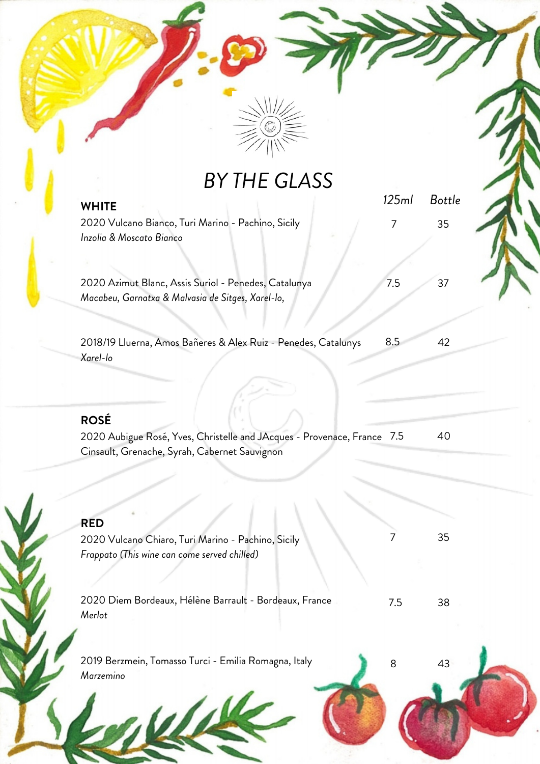

*BY THE GLASS*

| <b>WHITE</b>                                                                                                                            | 125ml | <b>Bottle</b> |
|-----------------------------------------------------------------------------------------------------------------------------------------|-------|---------------|
| 2020 Vulcano Bianco, Turi Marino - Pachino, Sicily<br>Inzolia & Moscato Bianco                                                          | 7     | 35            |
|                                                                                                                                         |       |               |
| 2020 Azimut Blanc, Assis Suriol - Penedes, Catalunya<br>Macabeu, Garnatxa & Malvasia de Sitges, Xarel-lo,                               | 7.5   | 37            |
| 2018/19 Lluerna, Amos Bañeres & Alex Ruiz - Penedes, Catalunys<br>Xarel-lo                                                              | 8.5   | 42            |
| <b>ROSÉ</b><br>2020 Aubigue Rosé, Yves, Christelle and JAcques - Provenace, France 7.5<br>Cinsault, Grenache, Syrah, Cabernet Sauvignon |       | 40            |
|                                                                                                                                         |       |               |
| <b>RED</b>                                                                                                                              |       |               |
| 2020 Vulcano Chiaro, Turi Marino - Pachino, Sicily<br>Frappato (This wine can come served chilled)                                      |       | 35            |
| 2020 Diem Bordeaux, Hélène Barrault - Bordeaux, France<br>Merlot                                                                        | 7.5   | 38            |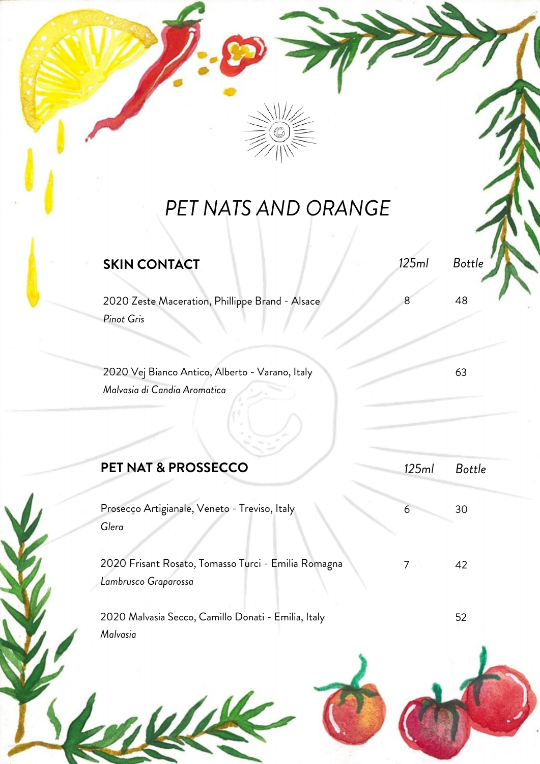

### *PET NATS AND ORANGE*

| <b>SKIN CONTACT</b>                                                             | 125ml | <b>Bottle</b> |  |
|---------------------------------------------------------------------------------|-------|---------------|--|
| 2020 Zeste Maceration, Phillippe Brand - Alsace<br>Pinot Gris                   | 8     | 48            |  |
| 2020 Vej Bianco Antico, Alberto - Varano, Italy<br>Malvasia di Candia Aromatica |       | 63            |  |
| <b>PET NAT &amp; PROSSECCO</b>                                                  | 125ml | <b>Bottle</b> |  |
| Prosecco Artigianale, Veneto - Treviso, Italy<br>Glera                          | 6     | 30            |  |
| 2020 Frisant Rosato, Tomasso Turci - Emilia Romagna<br>Lambrusco Graparossa     | 7     | 42            |  |
| 2020 Malvasia Secco, Camillo Donati - Emilia, Italy<br>Malvasia                 |       | 52            |  |
|                                                                                 |       |               |  |

M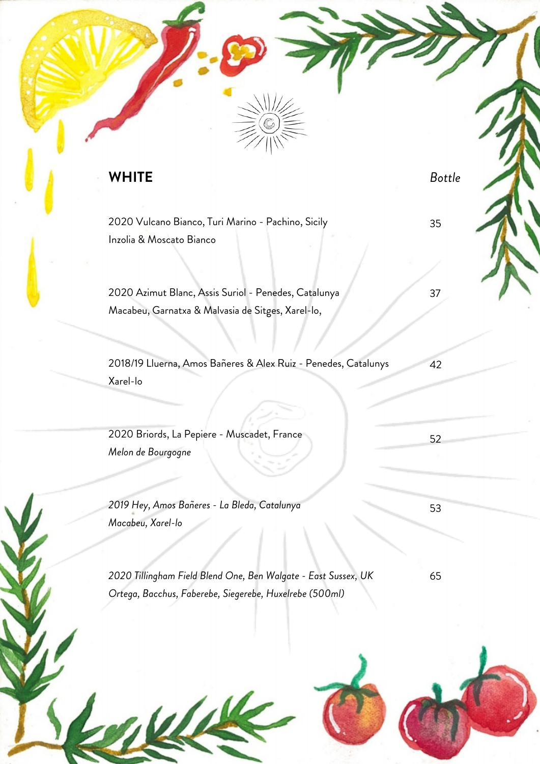#### **WHITE**

*Bottle*

35

37

42

53

52

2020 Vulcano Bianco, Turi Marino - Pachino, Sicily Inzolia & Moscato Bianco

2020 Azimut Blanc, Assis Suriol - Penedes, Catalunya Macabeu, Garnatxa & Malvasia de Sitges, Xarel-lo,

2018/19 Lluerna, Amos Bañeres & Alex Ruiz - Penedes, Catalunys Xarel-lo

2020 Briords, La Pepiere - Muscadet, France *Melon de Bourgogne*

*2019 Hey, Amos Bañeres - La Bleda, Catalunya Macabeu, Xarel-lo*

*2020 Tillingham Field Blend One, Ben Walgate - East Sussex, UK Ortega, Bacchus, Faberebe, Siegerebe, Huxelrebe (500ml)* 65